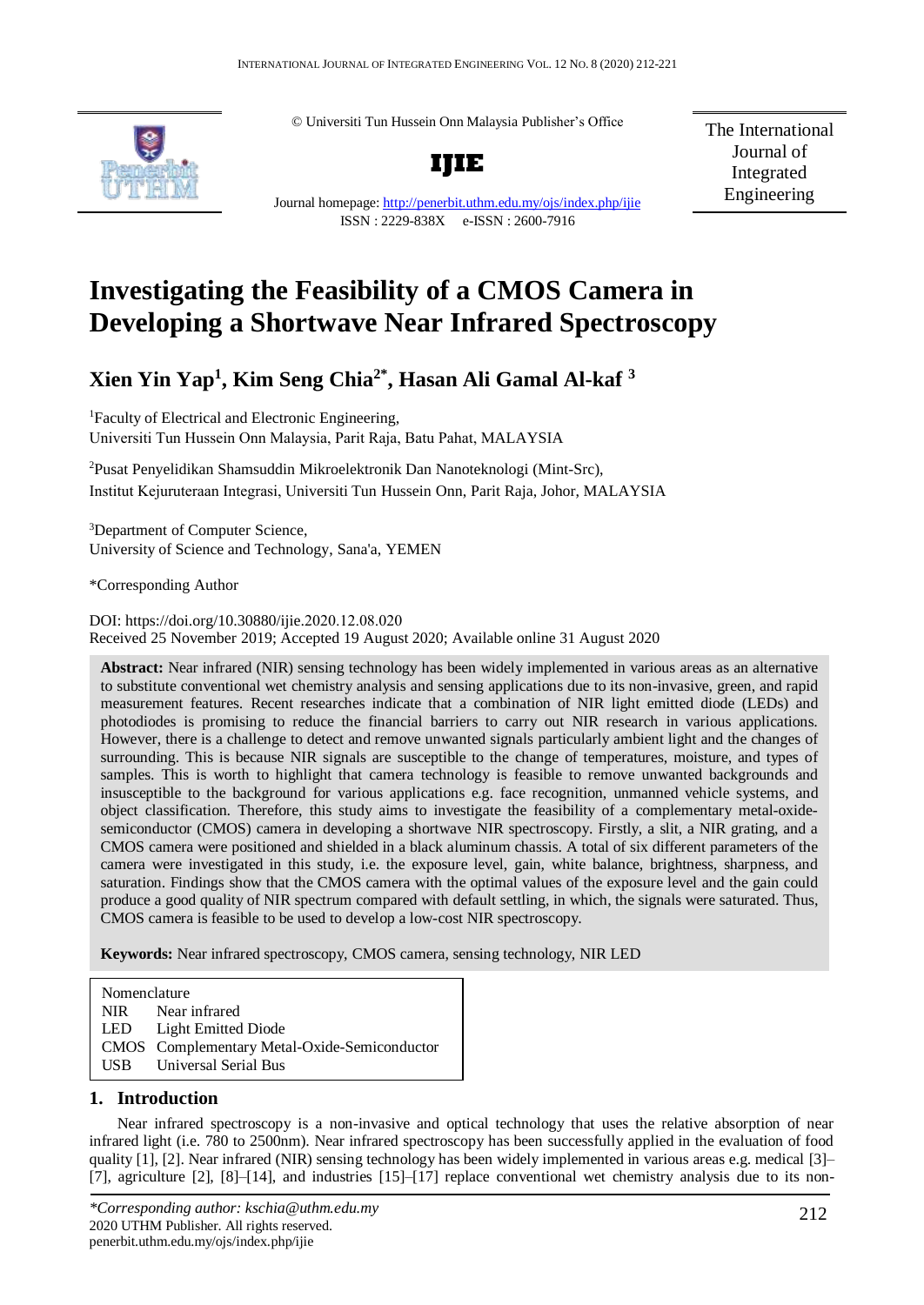© Universiti Tun Hussein Onn Malaysia Publisher's Office



**IJIE**

The International Journal of Integrated Engineering

Journal homepage:<http://penerbit.uthm.edu.my/ojs/index.php/ijie> ISSN : 2229-838X e-ISSN : 2600-7916

# **Investigating the Feasibility of a CMOS Camera in Developing a Shortwave Near Infrared Spectroscopy**

## **Xien Yin Yap<sup>1</sup> , Kim Seng Chia2\* , Hasan Ali Gamal Al-kaf <sup>3</sup>**

<sup>1</sup>Faculty of Electrical and Electronic Engineering, Universiti Tun Hussein Onn Malaysia, Parit Raja, Batu Pahat, MALAYSIA

<sup>2</sup>Pusat Penyelidikan Shamsuddin Mikroelektronik Dan Nanoteknologi (Mint-Src), Institut Kejuruteraan Integrasi, Universiti Tun Hussein Onn, Parit Raja, Johor, MALAYSIA

<sup>3</sup>Department of Computer Science, University of Science and Technology, Sana'a, YEMEN

\*Corresponding Author

DOI: https://doi.org/10.30880/ijie.2020.12.08.020 Received 25 November 2019; Accepted 19 August 2020; Available online 31 August 2020

**Abstract:** Near infrared (NIR) sensing technology has been widely implemented in various areas as an alternative to substitute conventional wet chemistry analysis and sensing applications due to its non-invasive, green, and rapid measurement features. Recent researches indicate that a combination of NIR light emitted diode (LEDs) and photodiodes is promising to reduce the financial barriers to carry out NIR research in various applications. However, there is a challenge to detect and remove unwanted signals particularly ambient light and the changes of surrounding. This is because NIR signals are susceptible to the change of temperatures, moisture, and types of samples. This is worth to highlight that camera technology is feasible to remove unwanted backgrounds and insusceptible to the background for various applications e.g. face recognition, unmanned vehicle systems, and object classification. Therefore, this study aims to investigate the feasibility of a complementary metal-oxidesemiconductor (CMOS) camera in developing a shortwave NIR spectroscopy. Firstly, a slit, a NIR grating, and a CMOS camera were positioned and shielded in a black aluminum chassis. A total of six different parameters of the camera were investigated in this study, i.e. the exposure level, gain, white balance, brightness, sharpness, and saturation. Findings show that the CMOS camera with the optimal values of the exposure level and the gain could produce a good quality of NIR spectrum compared with default settling, in which, the signals were saturated. Thus, CMOS camera is feasible to be used to develop a low-cost NIR spectroscopy.

**Keywords:** Near infrared spectroscopy, CMOS camera, sensing technology, NIR LED

Nomenclature NIR Near infrared LED Light Emitted Diode CMOS Complementary Metal-Oxide-Semiconductor USB Universal Serial Bus **Keywords:** Keyword 1, keyword 2, number of keywords is usually 3-7, but more is allowed if deemed necessary

### **1. Introduction**

Near infrared spectroscopy is a non-invasive and optical technology that uses the relative absorption of near infrared light (i.e. 780 to 2500nm). Near infrared spectroscopy has been successfully applied in the evaluation of food quality [1], [2]. Near infrared (NIR) sensing technology has been widely implemented in various areas e.g. medical [3]– [7], agriculture [2], [8]–[14], and industries [15]–[17] replace conventional wet chemistry analysis due to its non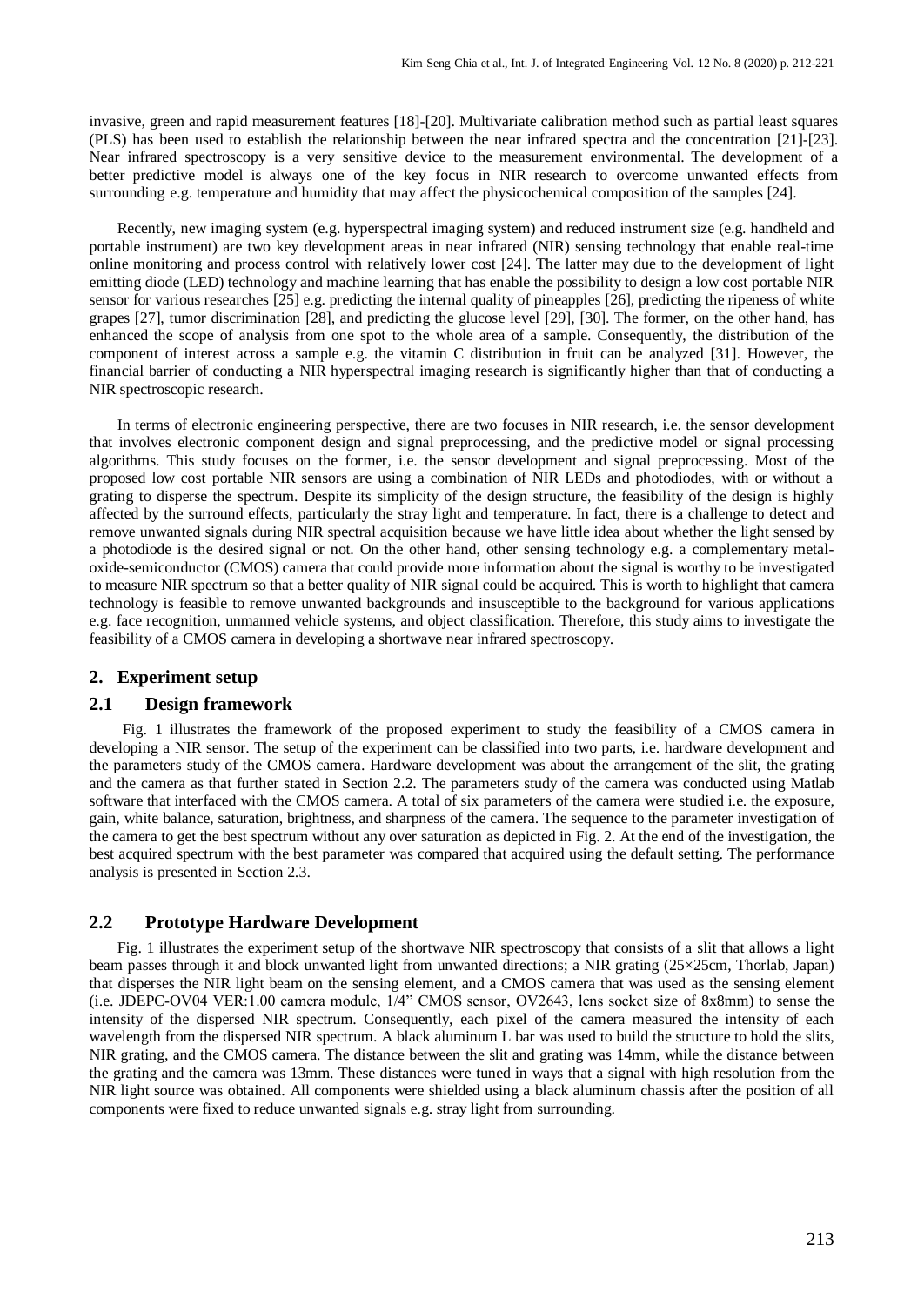invasive, green and rapid measurement features [18]-[20]. Multivariate calibration method such as partial least squares (PLS) has been used to establish the relationship between the near infrared spectra and the concentration [21]-[23]. Near infrared spectroscopy is a very sensitive device to the measurement environmental. The development of a better predictive model is always one of the key focus in NIR research to overcome unwanted effects from surrounding e.g. temperature and humidity that may affect the physicochemical composition of the samples [24].

Recently, new imaging system (e.g. hyperspectral imaging system) and reduced instrument size (e.g. handheld and portable instrument) are two key development areas in near infrared (NIR) sensing technology that enable real-time online monitoring and process control with relatively lower cost [24]. The latter may due to the development of light emitting diode (LED) technology and machine learning that has enable the possibility to design a low cost portable NIR sensor for various researches [25] e.g. predicting the internal quality of pineapples [26], predicting the ripeness of white grapes [27], tumor discrimination [28], and predicting the glucose level [29], [30]. The former, on the other hand, has enhanced the scope of analysis from one spot to the whole area of a sample. Consequently, the distribution of the component of interest across a sample e.g. the vitamin C distribution in fruit can be analyzed [31]. However, the financial barrier of conducting a NIR hyperspectral imaging research is significantly higher than that of conducting a NIR spectroscopic research.

In terms of electronic engineering perspective, there are two focuses in NIR research, i.e. the sensor development that involves electronic component design and signal preprocessing, and the predictive model or signal processing algorithms. This study focuses on the former, i.e. the sensor development and signal preprocessing. Most of the proposed low cost portable NIR sensors are using a combination of NIR LEDs and photodiodes, with or without a grating to disperse the spectrum. Despite its simplicity of the design structure, the feasibility of the design is highly affected by the surround effects, particularly the stray light and temperature. In fact, there is a challenge to detect and remove unwanted signals during NIR spectral acquisition because we have little idea about whether the light sensed by a photodiode is the desired signal or not. On the other hand, other sensing technology e.g. a complementary metaloxide-semiconductor (CMOS) camera that could provide more information about the signal is worthy to be investigated to measure NIR spectrum so that a better quality of NIR signal could be acquired. This is worth to highlight that camera technology is feasible to remove unwanted backgrounds and insusceptible to the background for various applications e.g. face recognition, unmanned vehicle systems, and object classification. Therefore, this study aims to investigate the feasibility of a CMOS camera in developing a shortwave near infrared spectroscopy.

#### **2. Experiment setup**

#### **2.1 Design framework**

Fig. 1 illustrates the framework of the proposed experiment to study the feasibility of a CMOS camera in developing a NIR sensor. The setup of the experiment can be classified into two parts, i.e. hardware development and the parameters study of the CMOS camera. Hardware development was about the arrangement of the slit, the grating and the camera as that further stated in Section 2.2. The parameters study of the camera was conducted using Matlab software that interfaced with the CMOS camera. A total of six parameters of the camera were studied i.e. the exposure, gain, white balance, saturation, brightness, and sharpness of the camera. The sequence to the parameter investigation of the camera to get the best spectrum without any over saturation as depicted in Fig. 2. At the end of the investigation, the best acquired spectrum with the best parameter was compared that acquired using the default setting. The performance analysis is presented in Section 2.3.

#### **2.2 Prototype Hardware Development**

Fig. 1 illustrates the experiment setup of the shortwave NIR spectroscopy that consists of a slit that allows a light beam passes through it and block unwanted light from unwanted directions; a NIR grating (25×25cm, Thorlab, Japan) that disperses the NIR light beam on the sensing element, and a CMOS camera that was used as the sensing element (i.e. JDEPC-OV04 VER:1.00 camera module, 1/4" CMOS sensor, OV2643, lens socket size of 8x8mm) to sense the intensity of the dispersed NIR spectrum. Consequently, each pixel of the camera measured the intensity of each wavelength from the dispersed NIR spectrum. A black aluminum L bar was used to build the structure to hold the slits, NIR grating, and the CMOS camera. The distance between the slit and grating was 14mm, while the distance between the grating and the camera was 13mm. These distances were tuned in ways that a signal with high resolution from the NIR light source was obtained. All components were shielded using a black aluminum chassis after the position of all components were fixed to reduce unwanted signals e.g. stray light from surrounding.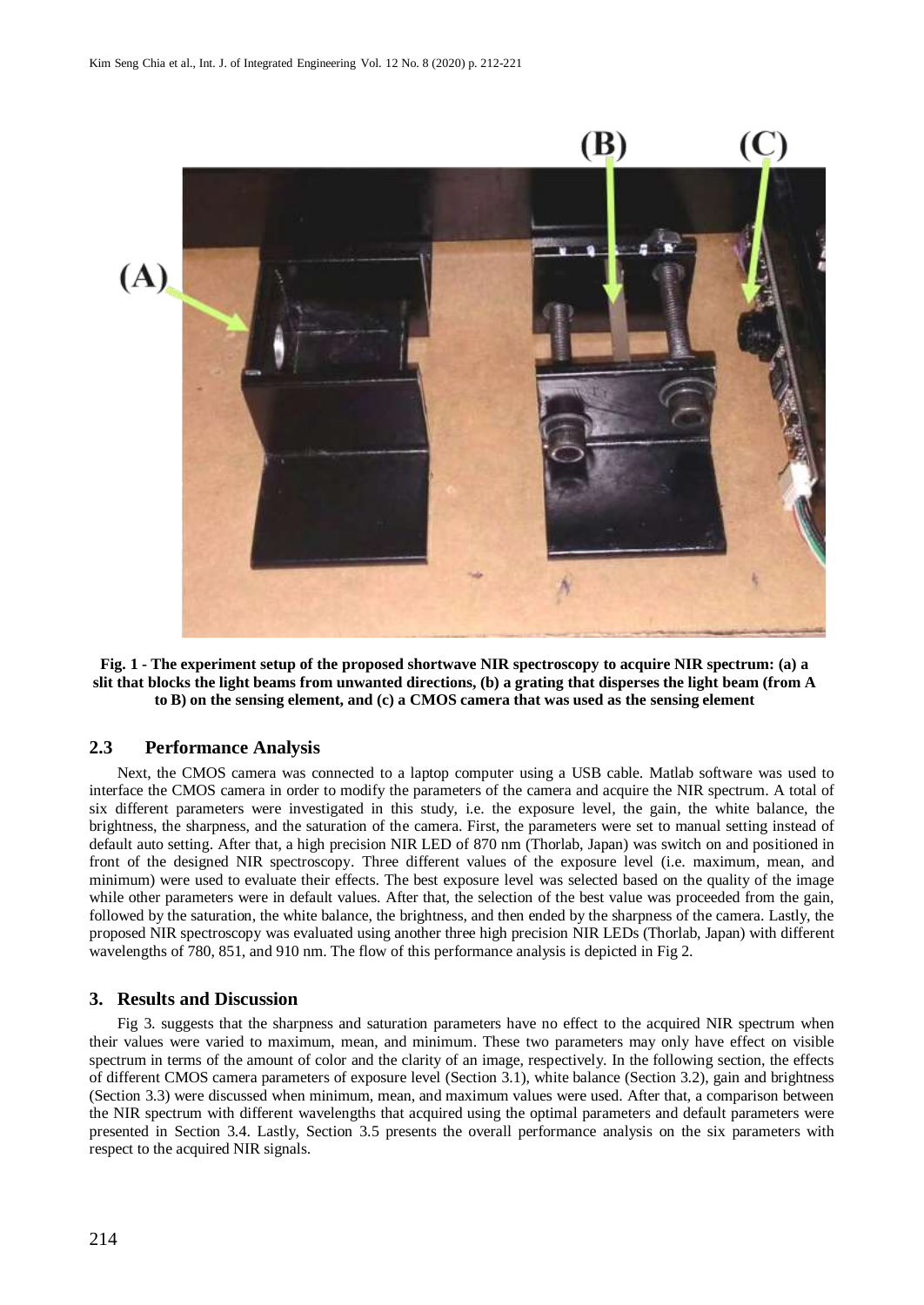

**Fig. 1 - The experiment setup of the proposed shortwave NIR spectroscopy to acquire NIR spectrum: (a) a slit that blocks the light beams from unwanted directions, (b) a grating that disperses the light beam (from A to B) on the sensing element, and (c) a CMOS camera that was used as the sensing element**

#### **2.3 Performance Analysis**

Next, the CMOS camera was connected to a laptop computer using a USB cable. Matlab software was used to interface the CMOS camera in order to modify the parameters of the camera and acquire the NIR spectrum. A total of six different parameters were investigated in this study, i.e. the exposure level, the gain, the white balance, the brightness, the sharpness, and the saturation of the camera. First, the parameters were set to manual setting instead of default auto setting. After that, a high precision NIR LED of 870 nm (Thorlab, Japan) was switch on and positioned in front of the designed NIR spectroscopy. Three different values of the exposure level (i.e. maximum, mean, and minimum) were used to evaluate their effects. The best exposure level was selected based on the quality of the image while other parameters were in default values. After that, the selection of the best value was proceeded from the gain, followed by the saturation, the white balance, the brightness, and then ended by the sharpness of the camera. Lastly, the proposed NIR spectroscopy was evaluated using another three high precision NIR LEDs (Thorlab, Japan) with different wavelengths of 780, 851, and 910 nm. The flow of this performance analysis is depicted in Fig 2.

#### **3. Results and Discussion**

Fig 3. suggests that the sharpness and saturation parameters have no effect to the acquired NIR spectrum when their values were varied to maximum, mean, and minimum. These two parameters may only have effect on visible spectrum in terms of the amount of color and the clarity of an image, respectively. In the following section, the effects of different CMOS camera parameters of exposure level (Section 3.1), white balance (Section 3.2), gain and brightness (Section 3.3) were discussed when minimum, mean, and maximum values were used. After that, a comparison between the NIR spectrum with different wavelengths that acquired using the optimal parameters and default parameters were presented in Section 3.4. Lastly, Section 3.5 presents the overall performance analysis on the six parameters with respect to the acquired NIR signals.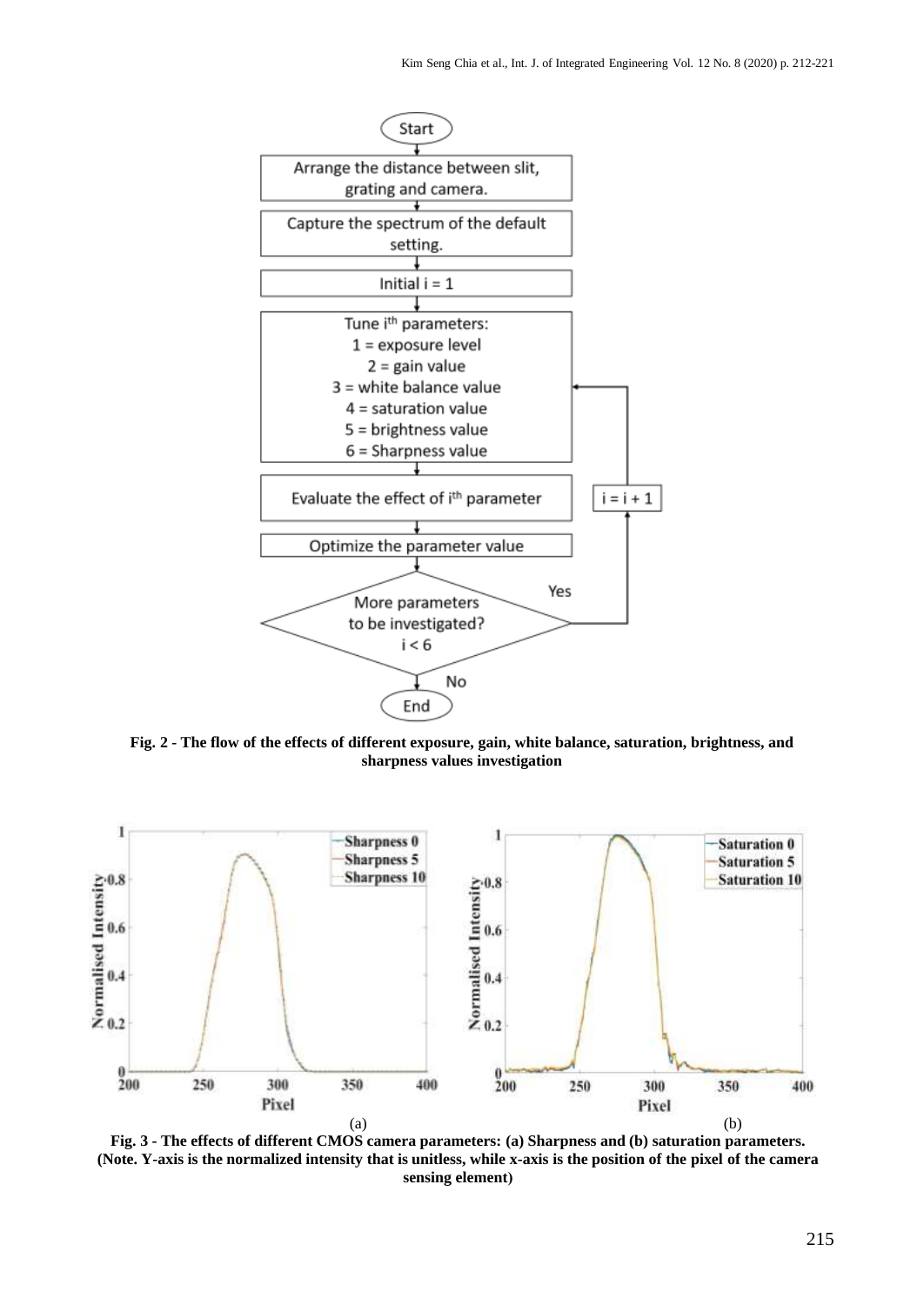

**Fig. 2 - The flow of the effects of different exposure, gain, white balance, saturation, brightness, and sharpness values investigation**



**Fig. 3 - The effects of different CMOS camera parameters: (a) Sharpness and (b) saturation parameters. (Note. Y-axis is the normalized intensity that is unitless, while x-axis is the position of the pixel of the camera sensing element)**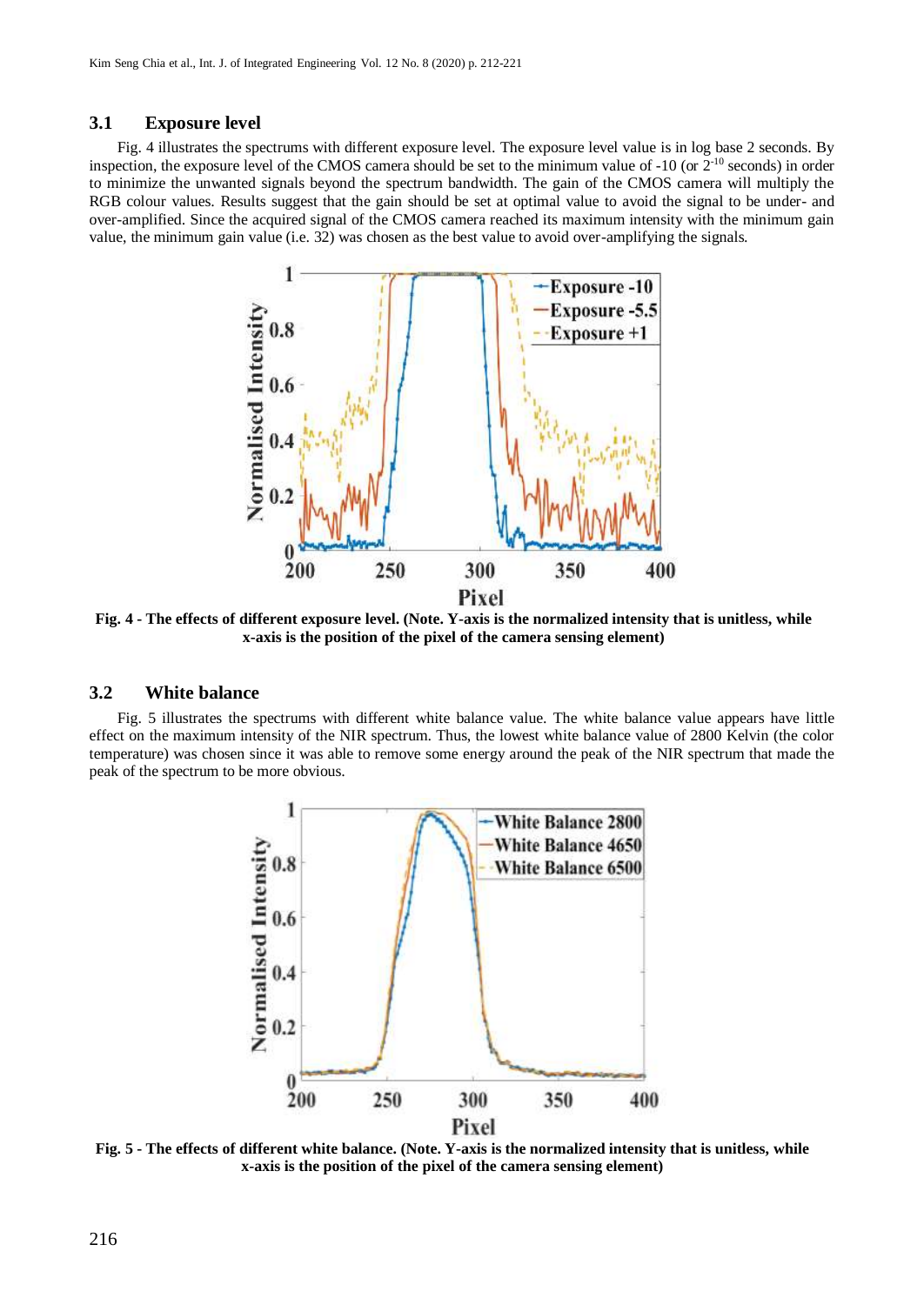#### **3.1 Exposure level**

Fig. 4 illustrates the spectrums with different exposure level. The exposure level value is in log base 2 seconds. By inspection, the exposure level of the CMOS camera should be set to the minimum value of  $-10$  (or  $2^{-10}$  seconds) in order to minimize the unwanted signals beyond the spectrum bandwidth. The gain of the CMOS camera will multiply the RGB colour values. Results suggest that the gain should be set at optimal value to avoid the signal to be under- and over-amplified. Since the acquired signal of the CMOS camera reached its maximum intensity with the minimum gain value, the minimum gain value (i.e. 32) was chosen as the best value to avoid over-amplifying the signals.



**Fig. 4 - The effects of different exposure level. (Note. Y-axis is the normalized intensity that is unitless, while x-axis is the position of the pixel of the camera sensing element)** 

#### **3.2 White balance**

Fig. 5 illustrates the spectrums with different white balance value. The white balance value appears have little effect on the maximum intensity of the NIR spectrum. Thus, the lowest white balance value of 2800 Kelvin (the color temperature) was chosen since it was able to remove some energy around the peak of the NIR spectrum that made the peak of the spectrum to be more obvious.



**Fig. 5 - The effects of different white balance. (Note. Y-axis is the normalized intensity that is unitless, while x-axis is the position of the pixel of the camera sensing element)**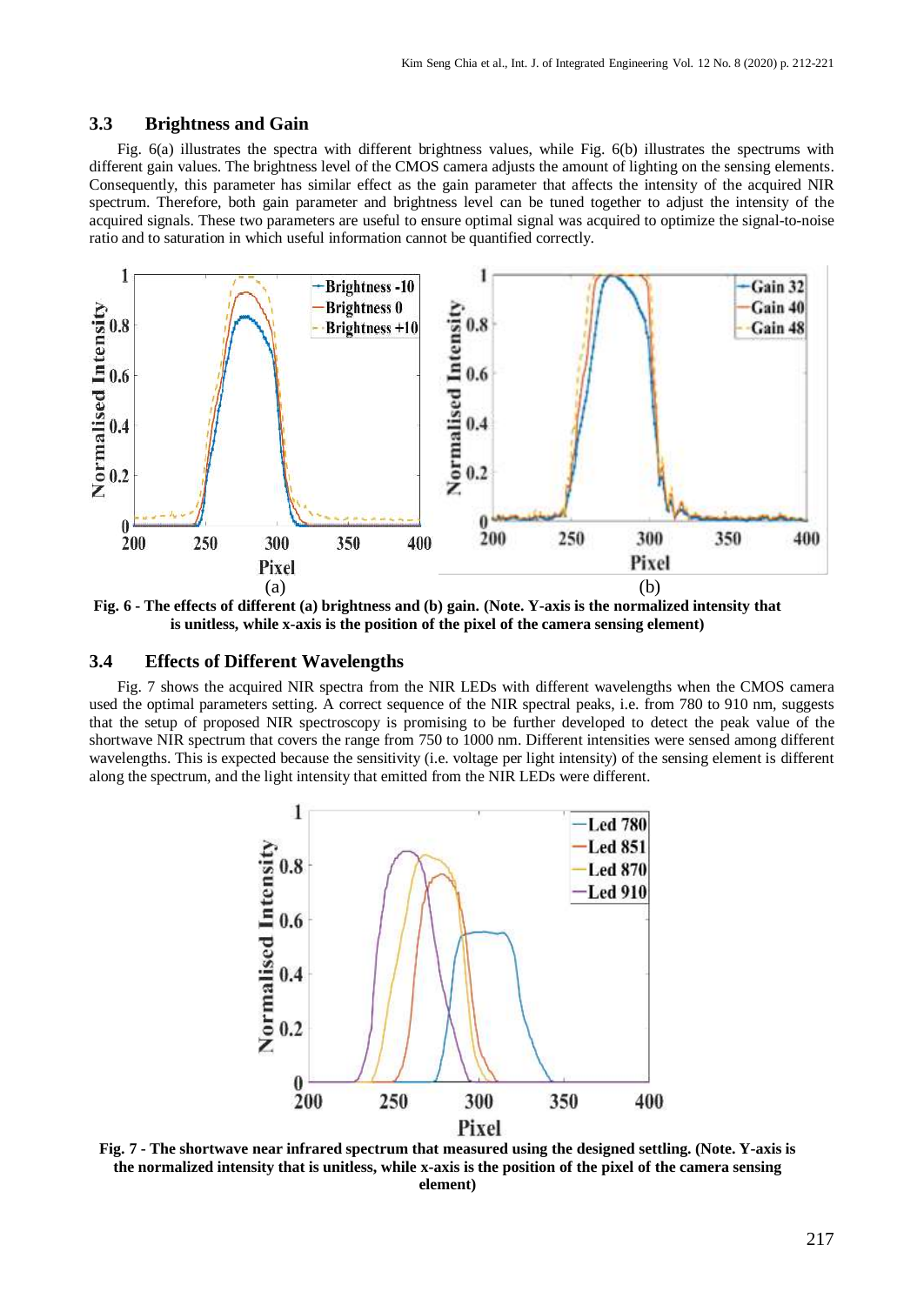#### **3.3 Brightness and Gain**

Fig. 6(a) illustrates the spectra with different brightness values, while Fig. 6(b) illustrates the spectrums with different gain values. The brightness level of the CMOS camera adjusts the amount of lighting on the sensing elements. Consequently, this parameter has similar effect as the gain parameter that affects the intensity of the acquired NIR spectrum. Therefore, both gain parameter and brightness level can be tuned together to adjust the intensity of the acquired signals. These two parameters are useful to ensure optimal signal was acquired to optimize the signal-to-noise ratio and to saturation in which useful information cannot be quantified correctly.



**Fig. 6 - The effects of different (a) brightness and (b) gain. (Note. Y-axis is the normalized intensity that is unitless, while x-axis is the position of the pixel of the camera sensing element)** 

#### **3.4 Effects of Different Wavelengths**

Fig. 7 shows the acquired NIR spectra from the NIR LEDs with different wavelengths when the CMOS camera used the optimal parameters setting. A correct sequence of the NIR spectral peaks, i.e. from 780 to 910 nm, suggests that the setup of proposed NIR spectroscopy is promising to be further developed to detect the peak value of the shortwave NIR spectrum that covers the range from 750 to 1000 nm. Different intensities were sensed among different wavelengths. This is expected because the sensitivity (i.e. voltage per light intensity) of the sensing element is different along the spectrum, and the light intensity that emitted from the NIR LEDs were different.



**Fig. 7 - The shortwave near infrared spectrum that measured using the designed settling. (Note. Y-axis is the normalized intensity that is unitless, while x-axis is the position of the pixel of the camera sensing element)**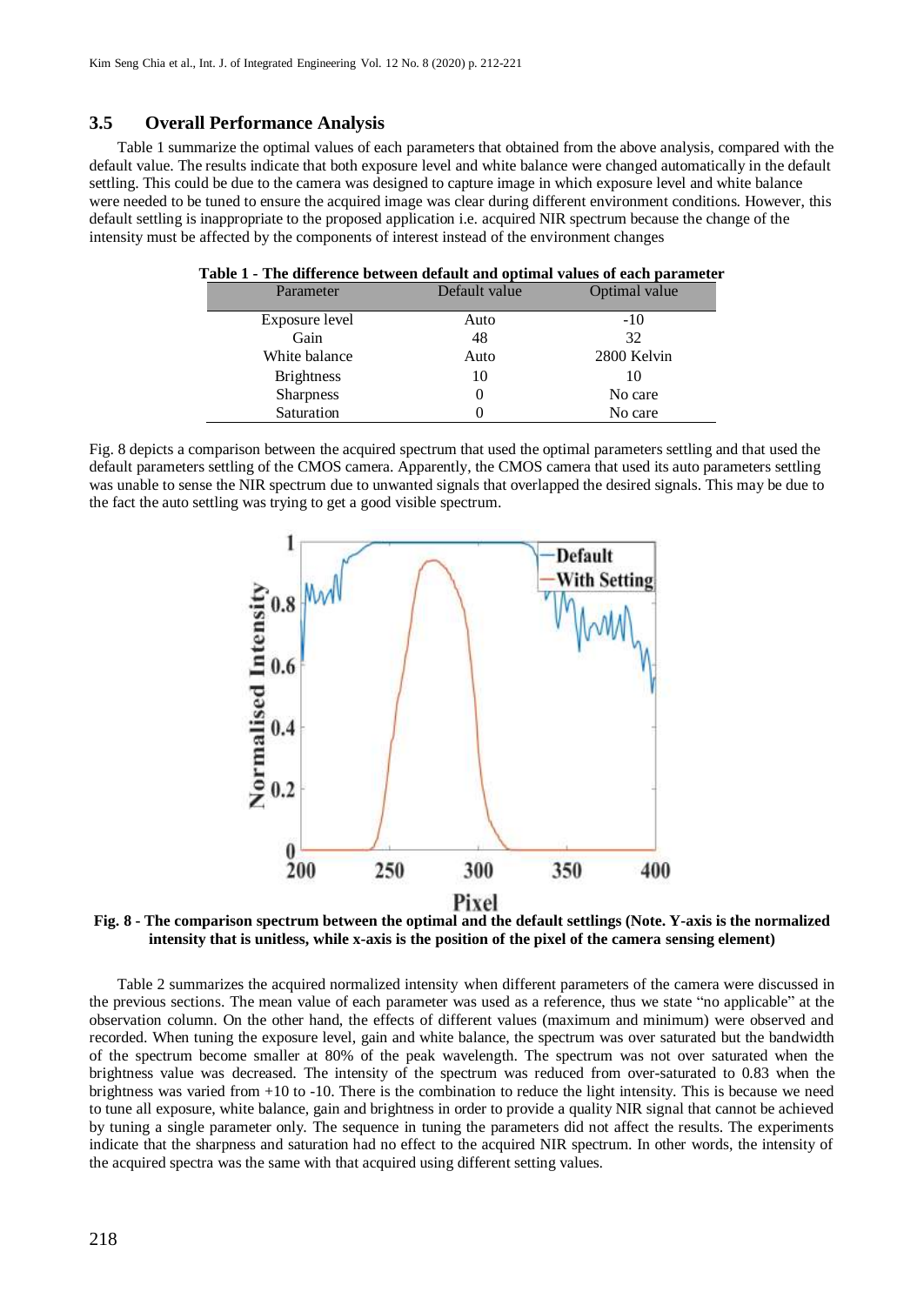#### **3.5 Overall Performance Analysis**

Table 1 summarize the optimal values of each parameters that obtained from the above analysis, compared with the default value. The results indicate that both exposure level and white balance were changed automatically in the default settling. This could be due to the camera was designed to capture image in which exposure level and white balance were needed to be tuned to ensure the acquired image was clear during different environment conditions. However, this default settling is inappropriate to the proposed application i.e. acquired NIR spectrum because the change of the intensity must be affected by the components of interest instead of the environment changes

| Table 1 - The difference between default and optimal values of each parameter |               |               |  |  |
|-------------------------------------------------------------------------------|---------------|---------------|--|--|
| Parameter                                                                     | Default value | Optimal value |  |  |
| Exposure level                                                                | Auto          | $-10$         |  |  |
| Gain                                                                          | 48            | 32            |  |  |
| White balance                                                                 | Auto          | 2800 Kelvin   |  |  |
| <b>Brightness</b>                                                             | 10            | 10            |  |  |
| <b>Sharpness</b>                                                              | $\theta$      | No care       |  |  |
| Saturation                                                                    |               | No care       |  |  |

Fig. 8 depicts a comparison between the acquired spectrum that used the optimal parameters settling and that used the default parameters settling of the CMOS camera. Apparently, the CMOS camera that used its auto parameters settling was unable to sense the NIR spectrum due to unwanted signals that overlapped the desired signals. This may be due to the fact the auto settling was trying to get a good visible spectrum.



**Fig. 8 - The comparison spectrum between the optimal and the default settlings (Note. Y-axis is the normalized intensity that is unitless, while x-axis is the position of the pixel of the camera sensing element)** 

Table 2 summarizes the acquired normalized intensity when different parameters of the camera were discussed in the previous sections. The mean value of each parameter was used as a reference, thus we state "no applicable" at the observation column. On the other hand, the effects of different values (maximum and minimum) were observed and recorded. When tuning the exposure level, gain and white balance, the spectrum was over saturated but the bandwidth of the spectrum become smaller at 80% of the peak wavelength. The spectrum was not over saturated when the brightness value was decreased. The intensity of the spectrum was reduced from over-saturated to 0.83 when the brightness was varied from +10 to -10. There is the combination to reduce the light intensity. This is because we need to tune all exposure, white balance, gain and brightness in order to provide a quality NIR signal that cannot be achieved by tuning a single parameter only. The sequence in tuning the parameters did not affect the results. The experiments indicate that the sharpness and saturation had no effect to the acquired NIR spectrum. In other words, the intensity of the acquired spectra was the same with that acquired using different setting values.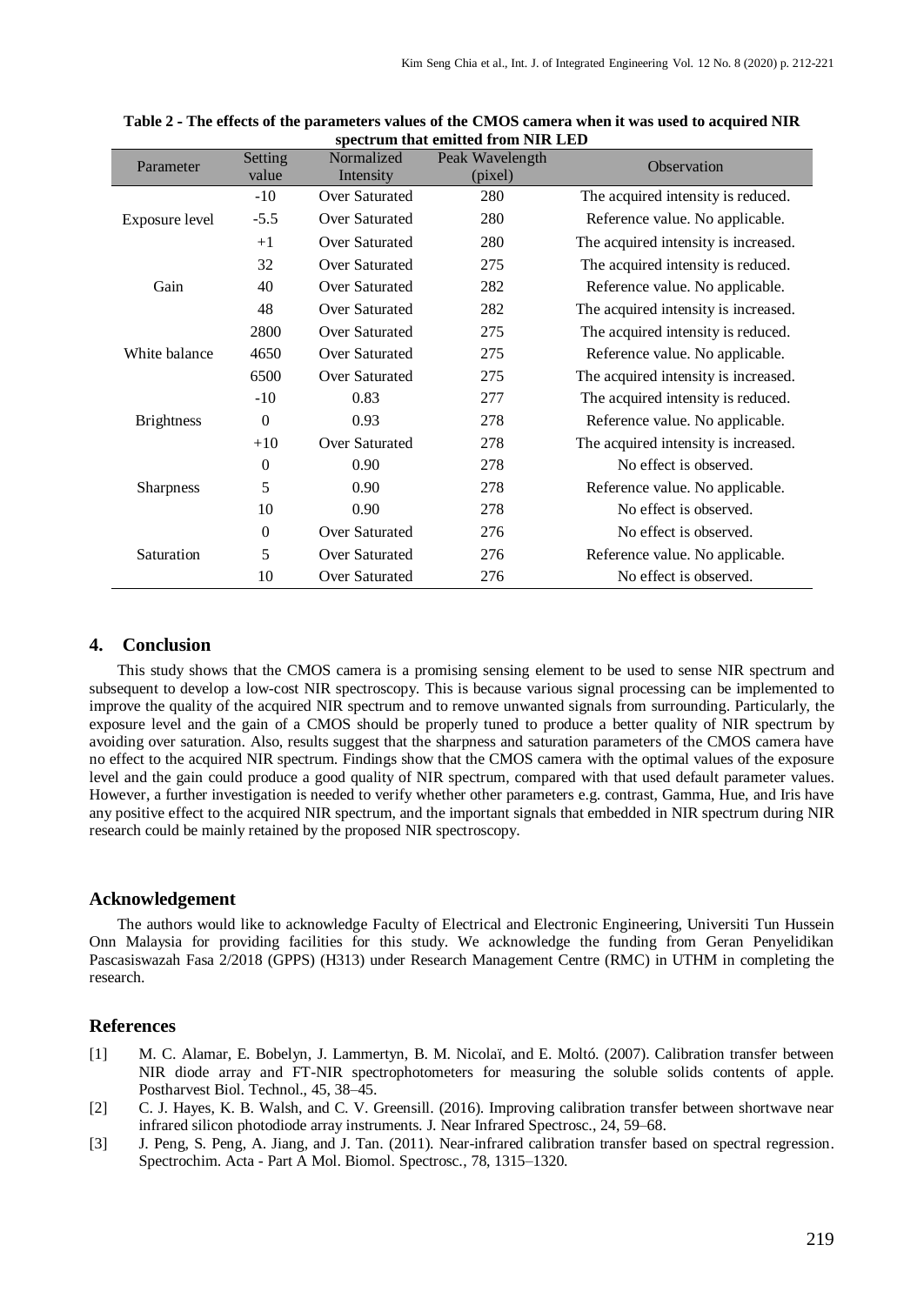| Parameter                                               | Setting  | Normalized     | Peak Wavelength |                                      |  |
|---------------------------------------------------------|----------|----------------|-----------------|--------------------------------------|--|
|                                                         | value    | Intensity      | (pixel)         | Observation                          |  |
| Exposure level                                          | $-10$    | Over Saturated | 280             | The acquired intensity is reduced.   |  |
|                                                         | $-5.5$   | Over Saturated | 280             | Reference value. No applicable.      |  |
|                                                         | $+1$     | Over Saturated | 280             | The acquired intensity is increased. |  |
| 32<br>Gain<br>40<br>48                                  |          | Over Saturated | 275             | The acquired intensity is reduced.   |  |
|                                                         |          | Over Saturated | 282             | Reference value. No applicable.      |  |
|                                                         |          | Over Saturated | 282             | The acquired intensity is increased. |  |
| White balance                                           | 2800     | Over Saturated | 275             | The acquired intensity is reduced.   |  |
|                                                         | 4650     | Over Saturated | 275             | Reference value. No applicable.      |  |
|                                                         | 6500     | Over Saturated | 275             | The acquired intensity is increased. |  |
| $-10$<br>$\boldsymbol{0}$<br><b>Brightness</b><br>$+10$ |          | 0.83           | 277             | The acquired intensity is reduced.   |  |
|                                                         |          | 0.93           | 278             | Reference value. No applicable.      |  |
|                                                         |          | Over Saturated | 278             | The acquired intensity is increased. |  |
| $\overline{0}$<br>5<br><b>Sharpness</b><br>10           |          | 0.90           | 278             | No effect is observed.               |  |
|                                                         |          | 0.90           | 278             | Reference value. No applicable.      |  |
|                                                         |          | 0.90           | 278             | No effect is observed.               |  |
| Saturation                                              | $\theta$ | Over Saturated | 276             | No effect is observed.               |  |
|                                                         | 5        | Over Saturated | 276             | Reference value. No applicable.      |  |
|                                                         | 10       | Over Saturated | 276             | No effect is observed.               |  |

| Table 2 - The effects of the parameters values of the CMOS camera when it was used to acquired NIR |  |
|----------------------------------------------------------------------------------------------------|--|
| spectrum that emitted from NIR LED                                                                 |  |

#### **4. Conclusion**

This study shows that the CMOS camera is a promising sensing element to be used to sense NIR spectrum and subsequent to develop a low-cost NIR spectroscopy. This is because various signal processing can be implemented to improve the quality of the acquired NIR spectrum and to remove unwanted signals from surrounding. Particularly, the exposure level and the gain of a CMOS should be properly tuned to produce a better quality of NIR spectrum by avoiding over saturation. Also, results suggest that the sharpness and saturation parameters of the CMOS camera have no effect to the acquired NIR spectrum. Findings show that the CMOS camera with the optimal values of the exposure level and the gain could produce a good quality of NIR spectrum, compared with that used default parameter values. However, a further investigation is needed to verify whether other parameters e.g. contrast, Gamma, Hue, and Iris have any positive effect to the acquired NIR spectrum, and the important signals that embedded in NIR spectrum during NIR research could be mainly retained by the proposed NIR spectroscopy.

#### **Acknowledgement**

The authors would like to acknowledge Faculty of Electrical and Electronic Engineering, Universiti Tun Hussein Onn Malaysia for providing facilities for this study. We acknowledge the funding from Geran Penyelidikan Pascasiswazah Fasa 2/2018 (GPPS) (H313) under Research Management Centre (RMC) in UTHM in completing the research.

#### **References**

- [1] M. C. Alamar, E. Bobelyn, J. Lammertyn, B. M. Nicolaï, and E. Moltó. (2007). Calibration transfer between NIR diode array and FT-NIR spectrophotometers for measuring the soluble solids contents of apple. Postharvest Biol. Technol., 45, 38–45.
- [2] C. J. Hayes, K. B. Walsh, and C. V. Greensill. (2016). Improving calibration transfer between shortwave near infrared silicon photodiode array instruments. J. Near Infrared Spectrosc., 24, 59–68.
- [3] J. Peng, S. Peng, A. Jiang, and J. Tan. (2011). Near-infrared calibration transfer based on spectral regression. Spectrochim. Acta - Part A Mol. Biomol. Spectrosc., 78, 1315–1320.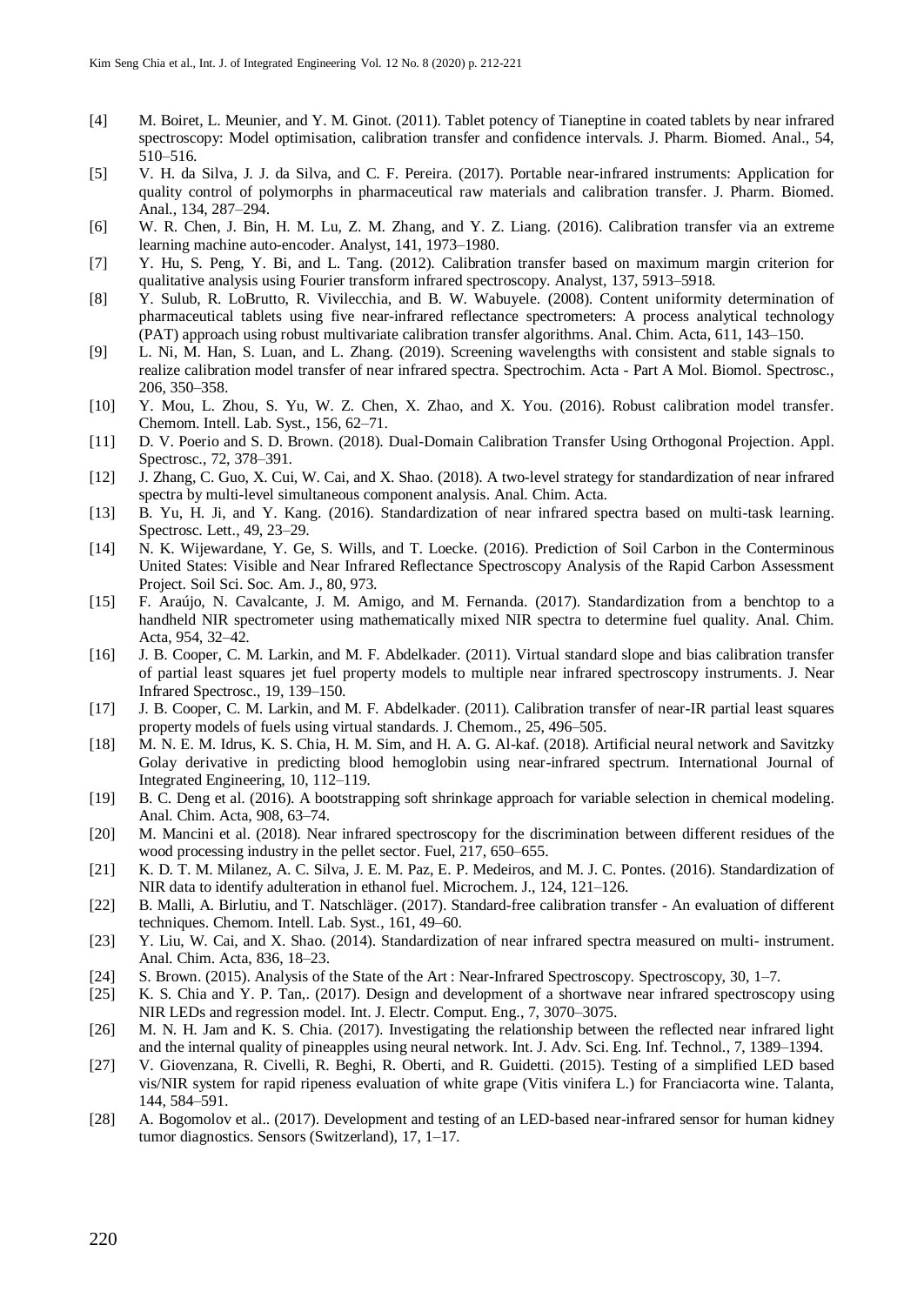- [4] M. Boiret, L. Meunier, and Y. M. Ginot. (2011). Tablet potency of Tianeptine in coated tablets by near infrared spectroscopy: Model optimisation, calibration transfer and confidence intervals. J. Pharm. Biomed. Anal., 54, 510–516.
- [5] V. H. da Silva, J. J. da Silva, and C. F. Pereira. (2017). Portable near-infrared instruments: Application for quality control of polymorphs in pharmaceutical raw materials and calibration transfer. J. Pharm. Biomed. Anal., 134, 287–294.
- [6] W. R. Chen, J. Bin, H. M. Lu, Z. M. Zhang, and Y. Z. Liang. (2016). Calibration transfer via an extreme learning machine auto-encoder. Analyst, 141, 1973–1980.
- [7] Y. Hu, S. Peng, Y. Bi, and L. Tang. (2012). Calibration transfer based on maximum margin criterion for qualitative analysis using Fourier transform infrared spectroscopy. Analyst, 137, 5913–5918.
- [8] Y. Sulub, R. LoBrutto, R. Vivilecchia, and B. W. Wabuyele. (2008). Content uniformity determination of pharmaceutical tablets using five near-infrared reflectance spectrometers: A process analytical technology (PAT) approach using robust multivariate calibration transfer algorithms. Anal. Chim. Acta, 611, 143–150.
- [9] L. Ni, M. Han, S. Luan, and L. Zhang. (2019). Screening wavelengths with consistent and stable signals to realize calibration model transfer of near infrared spectra. Spectrochim. Acta - Part A Mol. Biomol. Spectrosc., 206, 350–358.
- [10] Y. Mou, L. Zhou, S. Yu, W. Z. Chen, X. Zhao, and X. You. (2016). Robust calibration model transfer. Chemom. Intell. Lab. Syst., 156, 62–71.
- [11] D. V. Poerio and S. D. Brown. (2018). Dual-Domain Calibration Transfer Using Orthogonal Projection. Appl. Spectrosc., 72, 378–391.
- [12] J. Zhang, C. Guo, X. Cui, W. Cai, and X. Shao. (2018). A two-level strategy for standardization of near infrared spectra by multi-level simultaneous component analysis. Anal. Chim. Acta.
- [13] B. Yu, H. Ji, and Y. Kang. (2016). Standardization of near infrared spectra based on multi-task learning. Spectrosc. Lett., 49, 23–29.
- [14] N. K. Wijewardane, Y. Ge, S. Wills, and T. Loecke. (2016). Prediction of Soil Carbon in the Conterminous United States: Visible and Near Infrared Reflectance Spectroscopy Analysis of the Rapid Carbon Assessment Project. Soil Sci. Soc. Am. J., 80, 973.
- [15] F. Araújo, N. Cavalcante, J. M. Amigo, and M. Fernanda. (2017). Standardization from a benchtop to a handheld NIR spectrometer using mathematically mixed NIR spectra to determine fuel quality. Anal. Chim. Acta, 954, 32–42.
- [16] J. B. Cooper, C. M. Larkin, and M. F. Abdelkader. (2011). Virtual standard slope and bias calibration transfer of partial least squares jet fuel property models to multiple near infrared spectroscopy instruments. J. Near Infrared Spectrosc., 19, 139–150.
- [17] J. B. Cooper, C. M. Larkin, and M. F. Abdelkader. (2011). Calibration transfer of near-IR partial least squares property models of fuels using virtual standards. J. Chemom., 25, 496–505.
- [18] M. N. E. M. Idrus, K. S. Chia, H. M. Sim, and H. A. G. Al-kaf. (2018). Artificial neural network and Savitzky Golay derivative in predicting blood hemoglobin using near-infrared spectrum. International Journal of Integrated Engineering, 10, 112–119.
- [19] B. C. Deng et al. (2016). A bootstrapping soft shrinkage approach for variable selection in chemical modeling. Anal. Chim. Acta, 908, 63–74.
- [20] M. Mancini et al. (2018). Near infrared spectroscopy for the discrimination between different residues of the wood processing industry in the pellet sector. Fuel, 217, 650–655.
- [21] K. D. T. M. Milanez, A. C. Silva, J. E. M. Paz, E. P. Medeiros, and M. J. C. Pontes. (2016). Standardization of NIR data to identify adulteration in ethanol fuel. Microchem. J., 124, 121–126.
- [22] B. Malli, A. Birlutiu, and T. Natschläger. (2017). Standard-free calibration transfer An evaluation of different techniques. Chemom. Intell. Lab. Syst., 161, 49–60.
- [23] Y. Liu, W. Cai, and X. Shao. (2014). Standardization of near infrared spectra measured on multi- instrument. Anal. Chim. Acta, 836, 18–23.
- [24] S. Brown. (2015). Analysis of the State of the Art : Near-Infrared Spectroscopy. Spectroscopy, 30, 1–7.
- [25] K. S. Chia and Y. P. Tan,. (2017). Design and development of a shortwave near infrared spectroscopy using NIR LEDs and regression model. Int. J. Electr. Comput. Eng., 7, 3070–3075.
- [26] M. N. H. Jam and K. S. Chia. (2017). Investigating the relationship between the reflected near infrared light and the internal quality of pineapples using neural network. Int. J. Adv. Sci. Eng. Inf. Technol., 7, 1389–1394.
- [27] V. Giovenzana, R. Civelli, R. Beghi, R. Oberti, and R. Guidetti. (2015). Testing of a simplified LED based vis/NIR system for rapid ripeness evaluation of white grape (Vitis vinifera L.) for Franciacorta wine. Talanta, 144, 584–591.
- [28] A. Bogomolov et al.. (2017). Development and testing of an LED-based near-infrared sensor for human kidney tumor diagnostics. Sensors (Switzerland), 17, 1–17.